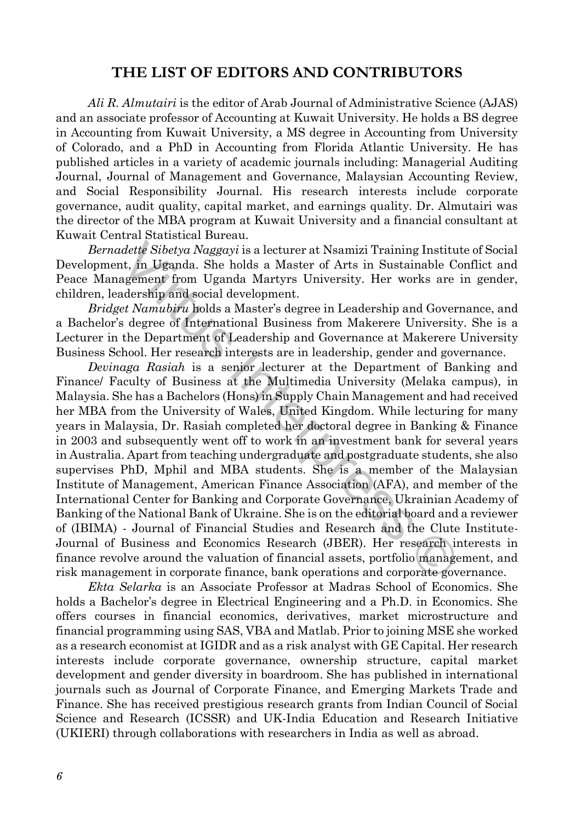## **THE LIST OF EDITORS AND CONTRIBUTORS**

*Ali R. Almutairi* is the editor of Arab Journal of Administrative Science (AJAS) and an associate professor of Accounting at Kuwait University. He holds a BS degree in Accounting from Kuwait University, a MS degree in Accounting from University of Colorado, and a PhD in Accounting from Florida Atlantic University. He has published articles in a variety of academic journals including: Managerial Auditing Journal, Journal of Management and Governance, Malaysian Accounting Review, and Social Responsibility Journal. His research interests include corporate governance, audit quality, capital market, and earnings quality. Dr. Almutairi was the director of the MBA program at Kuwait University and a financial consultant at Kuwait Central Statistical Bureau.

*Bernadette Sibetya Naggayi* is a lecturer at Nsamizi Training Institute of Social Development, in Uganda. She holds a Master of Arts in Sustainable Conflict and Peace Management from Uganda Martyrs University. Her works are in gender, children, leadership and social development.

*Bridget Namubiru* holds a Master's degree in Leadership and Governance, and a Bachelor's degree of International Business from Makerere University. She is a Lecturer in the Department of Leadership and Governance at Makerere University Business School. Her research interests are in leadership, gender and governance.

dette Sibetya Naggayi is a lecturer at Naamizi Training Institute Sibetya Naggayi is a lecturer at Naamizi Training Institute I, in Uganda. She holds a Master of Arts in Sustainable Congement from Uganda Martyrs University *Devinaga Rasiah* is a senior lecturer at the Department of Banking and Finance/ Faculty of Business at the Multimedia University (Melaka campus), in Malaysia. She has a Bachelors (Hons) in Supply Chain Management and had received her MBA from the University of Wales, United Kingdom. While lecturing for many years in Malaysia, Dr. Rasiah completed her doctoral degree in Banking & Finance in 2003 and subsequently went off to work in an investment bank for several years in Australia. Apart from teaching undergraduate and postgraduate students, she also supervises PhD, Mphil and MBA students. She is a member of the Malaysian Institute of Management, American Finance Association (AFA), and member of the International Center for Banking and Corporate Governance, Ukrainian Academy of Banking of the National Bank of Ukraine. She is on the editorial board and a reviewer of (IBIMA) - Journal of Financial Studies and Research and the Clute Institute-Journal of Business and Economics Research (JBER). Her research interests in finance revolve around the valuation of financial assets, portfolio management, and risk management in corporate finance, bank operations and corporate governance.

*Ekta Selarka* is an Associate Professor at Madras School of Economics. She holds a Bachelor's degree in Electrical Engineering and a Ph.D. in Economics. She offers courses in financial economics, derivatives, market microstructure and financial programming using SAS, VBA and Matlab. Prior to joining MSE she worked as a research economist at IGIDR and as a risk analyst with GE Capital. Her research interests include corporate governance, ownership structure, capital market development and gender diversity in boardroom. She has published in international journals such as Journal of Corporate Finance, and Emerging Markets Trade and Finance. She has received prestigious research grants from Indian Council of Social Science and Research (ICSSR) and UK-India Education and Research Initiative (UKIERI) through collaborations with researchers in India as well as abroad.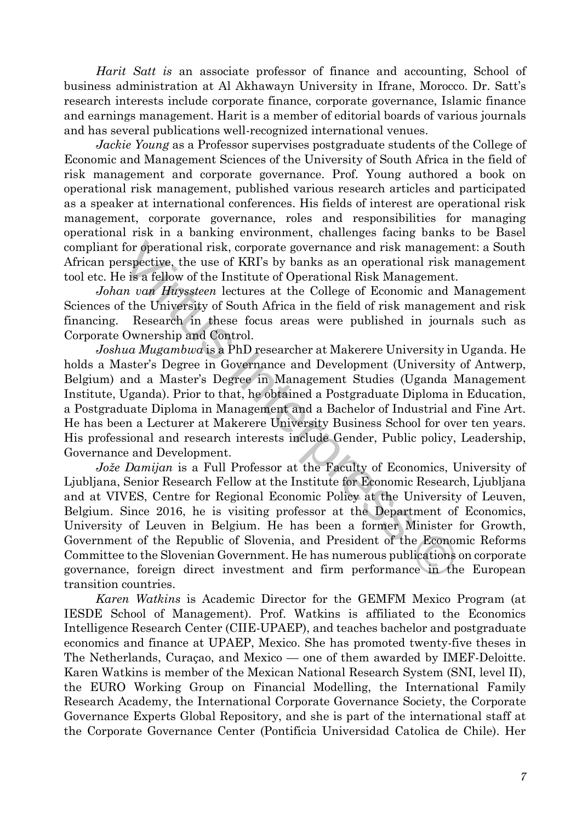*Harit Satt is* an associate professor of finance and accounting, School of business administration at Al Akhawayn University in Ifrane, Morocco. Dr. Satt's research interests include corporate finance, corporate governance, Islamic finance and earnings management. Harit is a member of editorial boards of various journals and has several publications well-recognized international venues.

*Jackie Young* as a Professor supervises postgraduate students of the College of Economic and Management Sciences of the University of South Africa in the field of risk management and corporate governance. Prof. Young authored a book on operational risk management, published various research articles and participated as a speaker at international conferences. His fields of interest are operational risk management, corporate governance, roles and responsibilities for managing operational risk in a banking environment, challenges facing banks to be Basel compliant for operational risk, corporate governance and risk management: a South African perspective, the use of KRI's by banks as an operational risk management tool etc. He is a fellow of the Institute of Operational Risk Management.

*Johan van Huyssteen* lectures at the College of Economic and Management Sciences of the University of South Africa in the field of risk management and risk financing. Research in these focus areas were published in journals such as Corporate Ownership and Control.

*Joshua Mugambwa* is a PhD researcher at Makerere University in Uganda. He holds a Master's Degree in Governance and Development (University of Antwerp, Belgium) and a Master's Degree in Management Studies (Uganda Management Institute, Uganda). Prior to that, he obtained a Postgraduate Diploma in Education, a Postgraduate Diploma in Management and a Bachelor of Industrial and Fine Art. He has been a Lecturer at Makerere University Business School for over ten years. His professional and research interests include Gender, Public policy, Leadership, Governance and Development.

for operational risk, corporate governance and risk manageme<br>respective, the use of KRI's by banks as an operational risk m<br> $\alpha$  is a fellow of the Institute of Operational Risk Management.<br>In the University of South Afri *Jože Damijan* is a Full Professor at the Faculty of Economics, University of Ljubljana, Senior Research Fellow at the Institute for Economic Research, Ljubljana and at VIVES, Centre for Regional Economic Policy at the University of Leuven, Belgium. Since 2016, he is visiting professor at the Department of Economics, University of Leuven in Belgium. He has been a former Minister for Growth, Government of the Republic of Slovenia, and President of the Economic Reforms Committee to the Slovenian Government. He has numerous publications on corporate governance, foreign direct investment and firm performance in the European transition countries.

*Karen Watkins* is Academic Director for the GEMFM Mexico Program (at IESDE School of Management). Prof. Watkins is affiliated to the Economics Intelligence Research Center (CIIE-UPAEP), and teaches bachelor and postgraduate economics and finance at UPAEP, Mexico. She has promoted twenty-five theses in The Netherlands, Curaçao, and Mexico — one of them awarded by IMEF-Deloitte. Karen Watkins is member of the Mexican National Research System (SNI, level II), the EURO Working Group on Financial Modelling, the International Family Research Academy, the International Corporate Governance Society, the Corporate Governance Experts Global Repository, and she is part of the international staff at the Corporate Governance Center (Pontificia Universidad Catolica de Chile). Her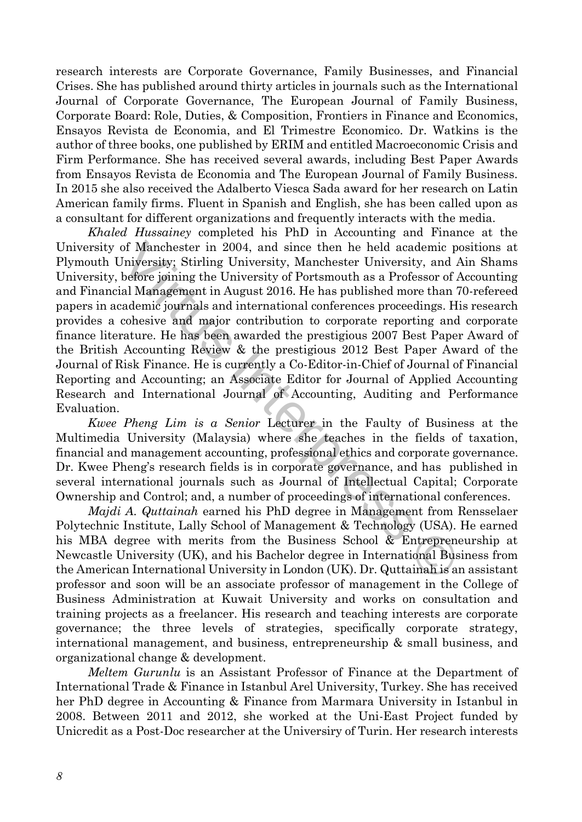research interests are Corporate Governance, Family Businesses, and Financial Crises. She has published around thirty articles in journals such as the International Journal of Corporate Governance, The European Journal of Family Business, Corporate Board: Role, Duties, & Composition, Frontiers in Finance and Economics, Ensayos Revista de Economia, and El Trimestre Economico. Dr. Watkins is the author of three books, one published by ERIM and entitled Macroeconomic Crisis and Firm Performance. She has received several awards, including Best Paper Awards from Ensayos Revista de Economia and The European Journal of Family Business. In 2015 she also received the Adalberto Viesca Sada award for her research on Latin American family firms. Fluent in Spanish and English, she has been called upon as a consultant for different organizations and frequently interacts with the media.

of Manchester in 2004, and since then he held academic po<br>Iniversity; Stirling University, Manchester University, and A<br>before joining the University of Portsmouth as a Professor of A<br>ald Management in August 2016. He has *Khaled Hussainey* completed his PhD in Accounting and Finance at the University of Manchester in 2004, and since then he held academic positions at Plymouth University; Stirling University, Manchester University, and Ain Shams University, before joining the University of Portsmouth as a Professor of Accounting and Financial Management in August 2016. He has published more than 70-refereed papers in academic journals and international conferences proceedings. His research provides a cohesive and major contribution to corporate reporting and corporate finance literature. He has been awarded the prestigious 2007 Best Paper Award of the British Accounting Review & the prestigious 2012 Best Paper Award of the Journal of Risk Finance. He is currently a Co-Editor-in-Chief of Journal of Financial Reporting and Accounting; an Associate Editor for Journal of Applied Accounting Research and International Journal of Accounting, Auditing and Performance Evaluation.

*Kwee Pheng Lim is a Senior* Lecturer in the Faulty of Business at the Multimedia University (Malaysia) where she teaches in the fields of taxation, financial and management accounting, professional ethics and corporate governance. Dr. Kwee Pheng's research fields is in corporate governance, and has published in several international journals such as Journal of Intellectual Capital; Corporate Ownership and Control; and, a number of proceedings of international conferences.

*Majdi A. Quttainah* earned his PhD degree in Management from Rensselaer Polytechnic Institute, Lally School of Management & Technology (USA). He earned his MBA degree with merits from the Business School & Entrepreneurship at Newcastle University (UK), and his Bachelor degree in International Business from the American International University in London (UK). Dr. Quttainah is an assistant professor and soon will be an associate professor of management in the College of Business Administration at Kuwait University and works on consultation and training projects as a freelancer. His research and teaching interests are corporate governance; the three levels of strategies, specifically corporate strategy, international management, and business, entrepreneurship & small business, and organizational change & development.

*Meltem Gurunlu* is an Assistant Professor of Finance at the Department of International Trade & Finance in Istanbul Arel University, Turkey. She has received her PhD degree in Accounting & Finance from Marmara University in Istanbul in 2008. Between 2011 and 2012, she worked at the Uni-East Project funded by Unicredit as a Post-Doc researcher at the Universiry of Turin. Her research interests